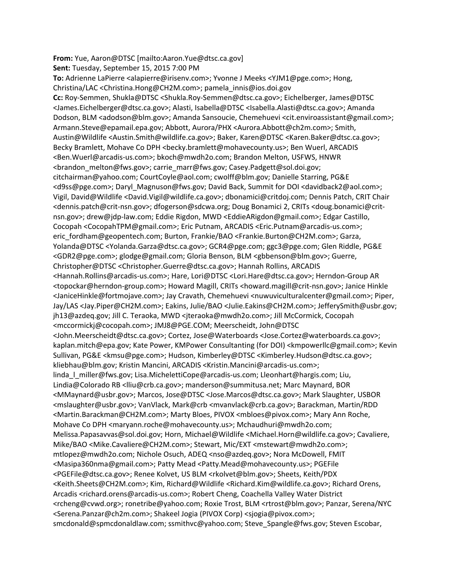**From:** Yue, Aaron@DTSC [mailto:Aaron.Yue@dtsc.ca.gov] **Sent:** Tuesday, September 15, 2015 7:00 PM To: Adrienne LaPierre <alapierre@irisenv.com>; Yvonne J Meeks <YJM1@pge.com>; Hong, Christina/LAC <Christina.Hong@CH2M.com>; pamela\_innis@ios.doi.gov **Cc:** Roy‐Semmen, Shukla@DTSC <Shukla.Roy‐Semmen@dtsc.ca.gov>; Eichelberger, James@DTSC <James.Eichelberger@dtsc.ca.gov>; Alasti, Isabella@DTSC <Isabella.Alasti@dtsc.ca.gov>; Amanda Dodson, BLM <adodson@blm.gov>; Amanda Sansoucie, Chemehuevi <cit.enviroassistant@gmail.com>; Armann.Steve@epamail.epa.gov; Abbott, Aurora/PHX <Aurora.Abbott@ch2m.com>; Smith, Austin@Wildlife <Austin.Smith@wildlife.ca.gov>; Baker, Karen@DTSC <Karen.Baker@dtsc.ca.gov>; Becky Bramlett, Mohave Co DPH <br />becky.bramlett@mohavecounty.us>; Ben Wuerl, ARCADIS <Ben.Wuerl@arcadis‐us.com>; bkoch@mwdh2o.com; Brandon Melton, USFWS, HNWR <brandon\_melton@fws.gov>; carrie\_marr@fws.gov; Casey.Padgett@sol.doi.gov; citchairman@yahoo.com; CourtCoyle@aol.com; cwolff@blm.gov; Danielle Starring, PG&E <d9ss@pge.com>; Daryl\_Magnuson@fws.gov; David Back, Summit for DOI <davidback2@aol.com>; Vigil, David@Wildlife <David.Vigil@wildlife.ca.gov>; dbonamici@critdoj.com; Dennis Patch, CRIT Chair <dennis.patch@crit‐nsn.gov>; dfogerson@sdcwa.org; Doug Bonamici 2, CRITs <doug.bonamici@crit‐ nsn.gov>; drew@jdp‐law.com; Eddie Rigdon, MWD <EddieARigdon@gmail.com>; Edgar Castillo, Cocopah <CocopahTPM@gmail.com>; Eric Putnam, ARCADIS <Eric.Putnam@arcadis‐us.com>; eric\_fordham@geopentech.com; Burton, Frankie/BAO <Frankie.Burton@CH2M.com>; Garza, Yolanda@DTSC <Yolanda.Garza@dtsc.ca.gov>; GCR4@pge.com; ggc3@pge.com; Glen Riddle, PG&E <GDR2@pge.com>; glodge@gmail.com; Gloria Benson, BLM <gbbenson@blm.gov>; Guerre, Christopher@DTSC <Christopher.Guerre@dtsc.ca.gov>; Hannah Rollins, ARCADIS <Hannah.Rollins@arcadis‐us.com>; Hare, Lori@DTSC <Lori.Hare@dtsc.ca.gov>; Herndon‐Group AR <topockar@herndon‐group.com>; Howard Magill, CRITs <howard.magill@crit‐nsn.gov>; Janice Hinkle <JaniceHinkle@fortmojave.com>; Jay Cravath, Chemehuevi <nuwuviculturalcenter@gmail.com>; Piper, Jay/LAS <Jay.Piper@CH2M.com>; Eakins, Julie/BAO <Julie.Eakins@CH2M.com>; JefferySmith@usbr.gov; jh13@azdeq.gov; Jill C. Teraoka, MWD <jteraoka@mwdh2o.com>; Jill McCormick, Cocopah <mccormickj@cocopah.com>; JMJ8@PGE.COM; Meerscheidt, John@DTSC <John.Meerscheidt@dtsc.ca.gov>; Cortez, Jose@Waterboards <Jose.Cortez@waterboards.ca.gov>; kaplan.mitch@epa.gov; Kate Power, KMPower Consultanting (for DOI) <kmpowerllc@gmail.com>; Kevin Sullivan, PG&E <kmsu@pge.com>; Hudson, Kimberley@DTSC <Kimberley.Hudson@dtsc.ca.gov>; kliebhau@blm.gov; Kristin Mancini, ARCADIS <Kristin.Mancini@arcadis‐us.com>; linda | miller@fws.gov; Lisa.MichelettiCope@arcadis-us.com; Lleonhart@hargis.com; Liu, Lindia@Colorado RB <lliu@crb.ca.gov>; manderson@summitusa.net; Marc Maynard, BOR <MMaynard@usbr.gov>; Marcos, Jose@DTSC <Jose.Marcos@dtsc.ca.gov>; Mark Slaughter, USBOR <mslaughter@usbr.gov>; VanVlack, Mark@crb <mvanvlack@crb.ca.gov>; Barackman, Martin/RDD <Martin.Barackman@CH2M.com>; Marty Bloes, PIVOX <mbloes@pivox.com>; Mary Ann Roche, Mohave Co DPH <maryann.roche@mohavecounty.us>; Mchaudhuri@mwdh2o.com; Melissa.Papasavvas@sol.doi.gov; Horn, Michael@Wildlife <Michael.Horn@wildlife.ca.gov>; Cavaliere, Mike/BAO <Mike.Cavaliere@CH2M.com>; Stewart, Mic/EXT <mstewart@mwdh2o.com>; mtlopez@mwdh2o.com; Nichole Osuch, ADEQ <nso@azdeq.gov>; Nora McDowell, FMIT <Masipa360nma@gmail.com>; Patty Mead <Patty.Mead@mohavecounty.us>; PGEFile <PGEFile@dtsc.ca.gov>; Renee Kolvet, US BLM <rkolvet@blm.gov>; Sheets, Keith/PDX <Keith.Sheets@CH2M.com>; Kim, Richard@Wildlife <Richard.Kim@wildlife.ca.gov>; Richard Orens, Arcadis <richard.orens@arcadis‐us.com>; Robert Cheng, Coachella Valley Water District <rcheng@cvwd.org>; ronetribe@yahoo.com; Roxie Trost, BLM <rtrost@blm.gov>; Panzar, Serena/NYC <Serena.Panzar@ch2m.com>; Shakeel Jogia (PIVOX Corp) <sjogia@pivox.com>; smcdonald@spmcdonaldlaw.com; ssmithvc@yahoo.com; Steve\_Spangle@fws.gov; Steven Escobar,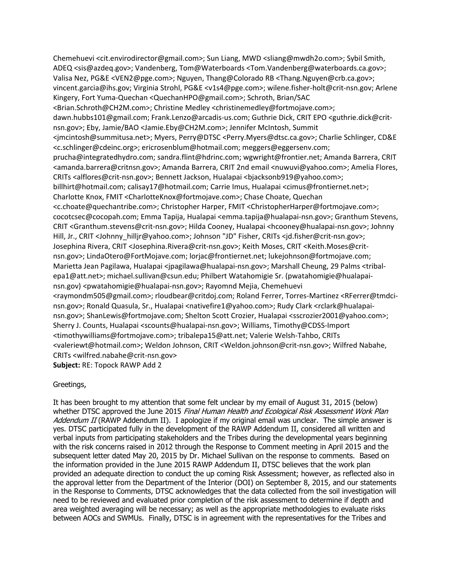Chemehuevi <cit.envirodirector@gmail.com>; Sun Liang, MWD <sliang@mwdh2o.com>; Sybil Smith, ADEQ <sis@azdeq.gov>; Vandenberg, Tom@Waterboards <Tom.Vandenberg@waterboards.ca.gov>; Valisa Nez, PG&E <VEN2@pge.com>; Nguyen, Thang@Colorado RB <Thang.Nguyen@crb.ca.gov>; vincent.garcia@ihs.gov; Virginia Strohl, PG&E <v1s4@pge.com>; wilene.fisher‐holt@crit‐nsn.gov; Arlene Kingery, Fort Yuma‐Quechan <QuechanHPO@gmail.com>; Schroth, Brian/SAC <Brian.Schroth@CH2M.com>; Christine Medley <christinemedley@fortmojave.com>; dawn.hubbs101@gmail.com; Frank.Lenzo@arcadis‐us.com; Guthrie Dick, CRIT EPO <guthrie.dick@crit‐ nsn.gov>; Eby, Jamie/BAO <Jamie.Eby@CH2M.com>; Jennifer McIntosh, Summit <jmcintosh@summitusa.net>; Myers, Perry@DTSC <Perry.Myers@dtsc.ca.gov>; Charlie Schlinger, CD&E <c.schlinger@cdeinc.org>; ericrosenblum@hotmail.com; meggers@eggersenv.com; prucha@integratedhydro.com; sandra.flint@hdrinc.com; wgwright@frontier.net; Amanda Barrera, CRIT <amanda.barrera@critnsn.gov>; Amanda Barrera, CRIT 2nd email <nuwuvi@yahoo.com>; Amelia Flores, CRITs <alflores@crit‐nsn.gov>; Bennett Jackson, Hualapai <bjacksonb919@yahoo.com>; billhirt@hotmail.com; calisay17@hotmail.com; Carrie Imus, Hualapai <cimus@frontiernet.net>; Charlotte Knox, FMIT <CharlotteKnox@fortmojave.com>; Chase Choate, Quechan <c.choate@quechantribe.com>; Christopher Harper, FMIT <ChristopherHarper@fortmojave.com>; cocotcsec@cocopah.com; Emma Tapija, Hualapai <emma.tapija@hualapai‐nsn.gov>; Granthum Stevens, CRIT <Granthum.stevens@crit‐nsn.gov>; Hilda Cooney, Hualapai <hcooney@hualapai‐nsn.gov>; Johnny Hill, Jr., CRIT <Johnny\_hilljr@yahoo.com>; Johnson "JD" Fisher, CRITs <jd.fisher@crit‐nsn.gov>; Josephina Rivera, CRIT <Josephina.Rivera@crit‐nsn.gov>; Keith Moses, CRIT <Keith.Moses@crit‐ nsn.gov>; LindaOtero@FortMojave.com; lorjac@frontiernet.net; lukejohnson@fortmojave.com; Marietta Jean Pagilawa, Hualapai <jpagilawa@hualapai-nsn.gov>; Marshall Cheung, 29 Palms <tribalepa1@att.net>; michael.sullivan@csun.edu; Philbert Watahomigie Sr. (pwatahomigie@hualapainsn.gov) <pwatahomigie@hualapai‐nsn.gov>; Rayomnd Mejia, Chemehuevi <raymondm505@gmail.com>; rloudbear@critdoj.com; Roland Ferrer, Torres‐Martinez <RFerrer@tmdci‐ nsn.gov>; Ronald Quasula, Sr., Hualapai <nativefire1@yahoo.com>; Rudy Clark <rclark@hualapainsn.gov>; ShanLewis@fortmojave.com; Shelton Scott Crozier, Hualapai <sscrozier2001@yahoo.com>; Sherry J. Counts, Hualapai <scounts@hualapai‐nsn.gov>; Williams, Timothy@CDSS‐Import <timothywilliams@fortmojave.com>; tribalepa15@att.net; Valerie Welsh‐Tahbo, CRITs <valeriewt@hotmail.com>; Weldon Johnson, CRIT <Weldon.johnson@crit‐nsn.gov>; Wilfred Nabahe, CRITs <wilfred.nabahe@crit‐nsn.gov> **Subject:** RE: Topock RAWP Add 2

## Greetings,

It has been brought to my attention that some felt unclear by my email of August 31, 2015 (below) whether DTSC approved the June 2015 Final Human Health and Ecological Risk Assessment Work Plan Addendum II (RAWP Addendum II). I apologize if my original email was unclear. The simple answer is yes. DTSC participated fully in the development of the RAWP Addendum II, considered all written and verbal inputs from participating stakeholders and the Tribes during the developmental years beginning with the risk concerns raised in 2012 through the Response to Comment meeting in April 2015 and the subsequent letter dated May 20, 2015 by Dr. Michael Sullivan on the response to comments. Based on the information provided in the June 2015 RAWP Addendum II, DTSC believes that the work plan provided an adequate direction to conduct the up coming Risk Assessment; however, as reflected also in the approval letter from the Department of the Interior (DOI) on September 8, 2015, and our statements in the Response to Comments, DTSC acknowledges that the data collected from the soil investigation will need to be reviewed and evaluated prior completion of the risk assessment to determine if depth and area weighted averaging will be necessary; as well as the appropriate methodologies to evaluate risks between AOCs and SWMUs. Finally, DTSC is in agreement with the representatives for the Tribes and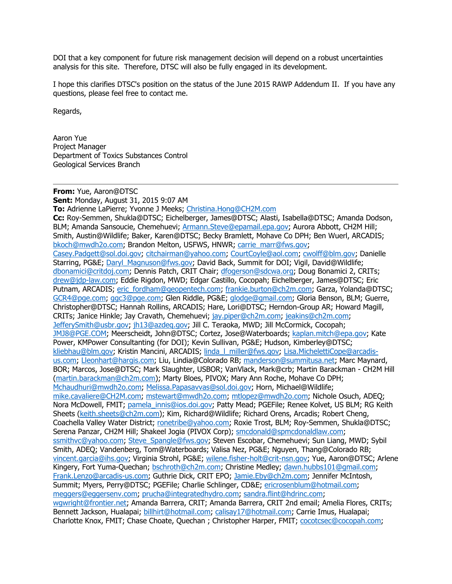DOI that a key component for future risk management decision will depend on a robust uncertainties analysis for this site. Therefore, DTSC will also be fully engaged in its development.

I hope this clarifies DTSC's position on the status of the June 2015 RAWP Addendum II. If you have any questions, please feel free to contact me.

Regards,

Aaron Yue Project Manager Department of Toxics Substances Control Geological Services Branch

**From:** Yue, Aaron@DTSC **Sent:** Monday, August 31, 2015 9:07 AM **To:** Adrienne LaPierre; Yvonne J Meeks; Christina.Hong@CH2M.com **Cc:** Roy-Semmen, Shukla@DTSC; Eichelberger, James@DTSC; Alasti, Isabella@DTSC; Amanda Dodson, BLM; Amanda Sansoucie, Chemehuevi; Armann. Steve@epamail.epa.gov; Aurora Abbott, CH2M Hill; Smith, Austin@Wildlife; Baker, Karen@DTSC; Becky Bramlett, Mohave Co DPH; Ben Wuerl, ARCADIS; bkoch@mwdh2o.com; Brandon Melton, USFWS, HNWR; carrie\_marr@fws.gov; Casey.Padgett@sol.doi.gov; citchairman@yahoo.com; CourtCoyle@aol.com; cwolff@blm.gov; Danielle Starring, PG&E; Daryl\_Magnuson@fws.gov; David Back, Summit for DOI; Vigil, David@Wildlife; dbonamici@critdoj.com; Dennis Patch, CRIT Chair; dfogerson@sdcwa.org; Doug Bonamici 2, CRITs; drew@jdp-law.com; Eddie Rigdon, MWD; Edgar Castillo, Cocopah; Eichelberger, James@DTSC; Eric Putnam, ARCADIS; eric\_fordham@geopentech.com; frankie.burton@ch2m.com; Garza, Yolanda@DTSC; GCR4@pge.com; ggc3@pge.com; Glen Riddle, PG&E; glodge@gmail.com; Gloria Benson, BLM; Guerre, Christopher@DTSC; Hannah Rollins, ARCADIS; Hare, Lori@DTSC; Herndon-Group AR; Howard Magill, CRITs; Janice Hinkle; Jay Cravath, Chemehuevi; jay.piper@ch2m.com; jeakins@ch2m.com; JefferySmith@usbr.gov; jh13@azdeq.gov; Jill C. Teraoka, MWD; Jill McCormick, Cocopah; JMJ8@PGE.COM; Meerscheidt, John@DTSC; Cortez, Jose@Waterboards; kaplan.mitch@epa.gov; Kate Power, KMPower Consultanting (for DOI); Kevin Sullivan, PG&E; Hudson, Kimberley@DTSC; kliebhau@blm.gov; Kristin Mancini, ARCADIS; linda | miller@fws.gov; Lisa.MichelettiCope@arcadisus.com; Lleonhart@hargis.com; Liu, Lindia@Colorado RB; manderson@summitusa.net; Marc Maynard, BOR; Marcos, Jose@DTSC; Mark Slaughter, USBOR; VanVlack, Mark@crb; Martin Barackman - CH2M Hill (martin.barackman@ch2m.com); Marty Bloes, PIVOX; Mary Ann Roche, Mohave Co DPH; Mchaudhuri@mwdh2o.com; Melissa.Papasavvas@sol.doi.gov; Horn, Michael@Wildlife; mike.cavaliere@CH2M.com; mstewart@mwdh2o.com; mtlopez@mwdh2o.com; Nichole Osuch, ADEQ; Nora McDowell, FMIT; pamela\_innis@ios.doi.gov; Patty Mead; PGEFile; Renee Kolvet, US BLM; RG Keith Sheets (keith.sheets@ch2m.com); Kim, Richard@Wildlife; Richard Orens, Arcadis; Robert Cheng, Coachella Valley Water District; ronetribe@yahoo.com; Roxie Trost, BLM; Roy-Semmen, Shukla@DTSC; Serena Panzar, CH2M Hill; Shakeel Jogia (PIVOX Corp); smcdonald@spmcdonaldlaw.com; ssmithvc@yahoo.com; Steve\_Spangle@fws.gov; Steven Escobar, Chemehuevi; Sun Liang, MWD; Sybil Smith, ADEQ; Vandenberg, Tom@Waterboards; Valisa Nez, PG&E; Nguyen, Thang@Colorado RB; vincent.garcia@ihs.gov; Virginia Strohl, PG&E; wilene.fisher-holt@crit-nsn.gov; Yue, Aaron@DTSC; Arlene Kingery, Fort Yuma-Quechan; bschroth@ch2m.com; Christine Medley; dawn.hubbs101@gmail.com; Frank.Lenzo@arcadis-us.com; Guthrie Dick, CRIT EPO; Jamie.Eby@ch2m.com; Jennifer McIntosh, Summit; Myers, Perry@DTSC; PGEFile; Charlie Schlinger, CD&E; ericrosenblum@hotmail.com; meggers@eggersenv.com; prucha@integratedhydro.com; sandra.flint@hdrinc.com; wgwright@frontier.net; Amanda Barrera, CRIT; Amanda Barrera, CRIT 2nd email; Amelia Flores, CRITs; Bennett Jackson, Hualapai; billhirt@hotmail.com; calisay17@hotmail.com; Carrie Imus, Hualapai; Charlotte Knox, FMIT; Chase Choate, Quechan ; Christopher Harper, FMIT; cocotcsec@cocopah.com;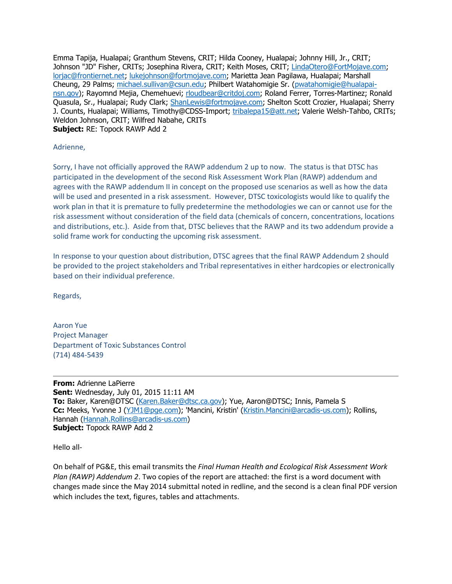Emma Tapija, Hualapai; Granthum Stevens, CRIT; Hilda Cooney, Hualapai; Johnny Hill, Jr., CRIT; Johnson "JD" Fisher, CRITs; Josephina Rivera, CRIT; Keith Moses, CRIT; LindaOtero@FortMojave.com; lorjac@frontiernet.net; lukejohnson@fortmojave.com; Marietta Jean Pagilawa, Hualapai; Marshall Cheung, 29 Palms; michael.sullivan@csun.edu; Philbert Watahomigie Sr. (pwatahomigie@hualapainsn.gov); Rayomnd Mejia, Chemehuevi; rloudbear@critdoj.com; Roland Ferrer, Torres-Martinez; Ronald Quasula, Sr., Hualapai; Rudy Clark; ShanLewis@fortmojave.com; Shelton Scott Crozier, Hualapai; Sherry J. Counts, Hualapai; Williams, Timothy@CDSS-Import; tribalepa15@att.net; Valerie Welsh-Tahbo, CRITs; Weldon Johnson, CRIT; Wilfred Nabahe, CRITs **Subject:** RE: Topock RAWP Add 2

Adrienne,

Sorry, I have not officially approved the RAWP addendum 2 up to now. The status is that DTSC has participated in the development of the second Risk Assessment Work Plan (RAWP) addendum and agrees with the RAWP addendum II in concept on the proposed use scenarios as well as how the data will be used and presented in a risk assessment. However, DTSC toxicologists would like to qualify the work plan in that it is premature to fully predetermine the methodologies we can or cannot use for the risk assessment without consideration of the field data (chemicals of concern, concentrations, locations and distributions, etc.). Aside from that, DTSC believes that the RAWP and its two addendum provide a solid frame work for conducting the upcoming risk assessment.

In response to your question about distribution, DTSC agrees that the final RAWP Addendum 2 should be provided to the project stakeholders and Tribal representatives in either hardcopies or electronically based on their individual preference.

Regards,

Aaron Yue Project Manager Department of Toxic Substances Control (714) 484‐5439

**From:** Adrienne LaPierre **Sent:** Wednesday, July 01, 2015 11:11 AM **To:** Baker, Karen@DTSC (Karen.Baker@dtsc.ca.gov); Yue, Aaron@DTSC; Innis, Pamela S **Cc:** Meeks, Yvonne J (YJM1@pge.com); 'Mancini, Kristin' (Kristin.Mancini@arcadis-us.com); Rollins, Hannah (Hannah.Rollins@arcadis-us.com) **Subject:** Topock RAWP Add 2

Hello all‐

On behalf of PG&E, this email transmits the *Final Human Health and Ecological Risk Assessment Work Plan (RAWP) Addendum 2*. Two copies of the report are attached: the first is a word document with changes made since the May 2014 submittal noted in redline, and the second is a clean final PDF version which includes the text, figures, tables and attachments.